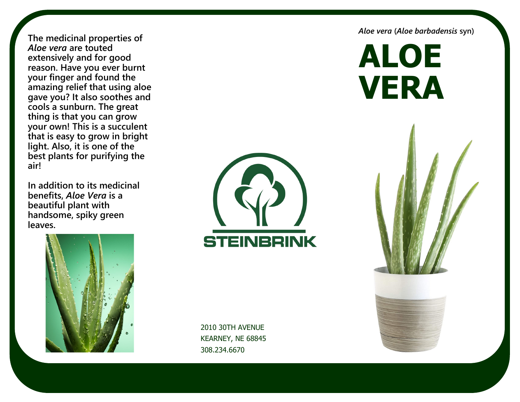**The medicinal properties of**  *Aloe vera* **are touted extensively and for good reason. Have you ever burnt your finger and found the amazing relief that using aloe gave you? It also soothes and cools a sunburn. The great thing is that you can grow your own! This is a succulent that is easy to grow in bright light. Also, it is one of the best plants for purifying the air!**

**In addition to its medicinal benefits,** *Aloe Vera* **is a beautiful plant with handsome, spiky green leaves.** 



**STEINBRINK** 

2010 30TH AVENUE KEARNEY, NE 68845 308.234.6670

*Aloe vera* **(***Aloe barbadensis* **syn)**

**ALOE VERA**